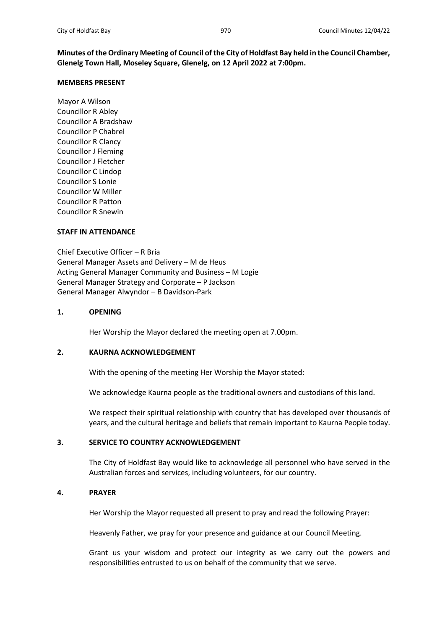**Minutes of the Ordinary Meeting of Council of the City of Holdfast Bay held in the Council Chamber, Glenelg Town Hall, Moseley Square, Glenelg, on 12 April 2022 at 7:00pm.**

## **MEMBERS PRESENT**

Mayor A Wilson Councillor R Abley Councillor A Bradshaw Councillor P Chabrel Councillor R Clancy Councillor J Fleming Councillor J Fletcher Councillor C Lindop Councillor S Lonie Councillor W Miller Councillor R Patton Councillor R Snewin

# **STAFF IN ATTENDANCE**

Chief Executive Officer – R Bria General Manager Assets and Delivery – M de Heus Acting General Manager Community and Business – M Logie General Manager Strategy and Corporate – P Jackson General Manager Alwyndor – B Davidson-Park

## **1. OPENING**

Her Worship the Mayor declared the meeting open at 7.00pm.

# **2. KAURNA ACKNOWLEDGEMENT**

With the opening of the meeting Her Worship the Mayor stated:

We acknowledge Kaurna people as the traditional owners and custodians of this land.

We respect their spiritual relationship with country that has developed over thousands of years, and the cultural heritage and beliefs that remain important to Kaurna People today.

# **3. SERVICE TO COUNTRY ACKNOWLEDGEMENT**

The City of Holdfast Bay would like to acknowledge all personnel who have served in the Australian forces and services, including volunteers, for our country.

## **4. PRAYER**

Her Worship the Mayor requested all present to pray and read the following Prayer:

Heavenly Father, we pray for your presence and guidance at our Council Meeting.

Grant us your wisdom and protect our integrity as we carry out the powers and responsibilities entrusted to us on behalf of the community that we serve.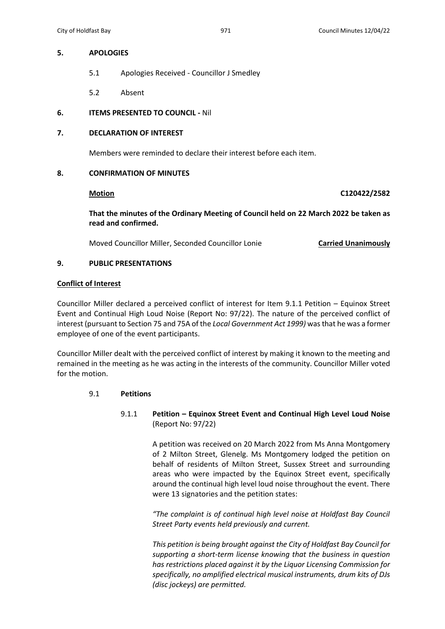## **5. APOLOGIES**

- 5.1 Apologies Received Councillor J Smedley
- 5.2 Absent

# **6. ITEMS PRESENTED TO COUNCIL -** Nil

# **7. DECLARATION OF INTEREST**

Members were reminded to declare their interest before each item.

# **8. CONFIRMATION OF MINUTES**

**Motion C120422/2582**

**That the minutes of the Ordinary Meeting of Council held on 22 March 2022 be taken as read and confirmed.**

Moved Councillor Miller, Seconded Councillor Lonie **Carried Unanimously**

# **9. PUBLIC PRESENTATIONS**

## **Conflict of Interest**

Councillor Miller declared a perceived conflict of interest for Item 9.1.1 Petition – Equinox Street Event and Continual High Loud Noise (Report No: 97/22). The nature of the perceived conflict of interest (pursuant to Section 75 and 75A of the *Local Government Act 1999)* was that he was a former employee of one of the event participants.

Councillor Miller dealt with the perceived conflict of interest by making it known to the meeting and remained in the meeting as he was acting in the interests of the community. Councillor Miller voted for the motion.

# 9.1 **Petitions**

9.1.1 **Petition – Equinox Street Event and Continual High Level Loud Noise** (Report No: 97/22)

> A petition was received on 20 March 2022 from Ms Anna Montgomery of 2 Milton Street, Glenelg. Ms Montgomery lodged the petition on behalf of residents of Milton Street, Sussex Street and surrounding areas who were impacted by the Equinox Street event, specifically around the continual high level loud noise throughout the event. There were 13 signatories and the petition states:

> *"The complaint is of continual high level noise at Holdfast Bay Council Street Party events held previously and current.*

> *This petition is being brought against the City of Holdfast Bay Council for supporting a short-term license knowing that the business in question has restrictions placed against it by the Liquor Licensing Commission for specifically, no amplified electrical musical instruments, drum kits of DJs (disc jockeys) are permitted.*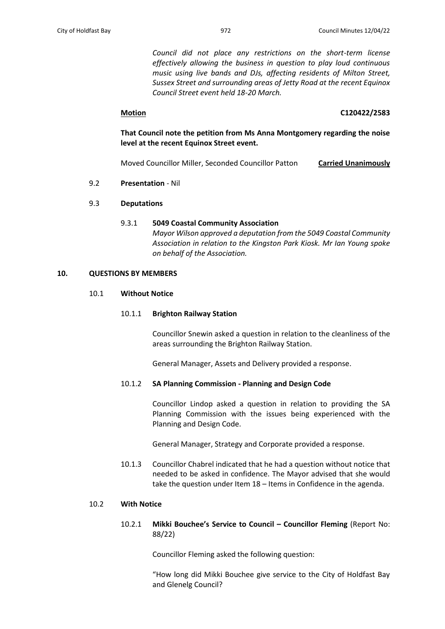*Council did not place any restrictions on the short-term license effectively allowing the business in question to play loud continuous music using live bands and DJs, affecting residents of Milton Street, Sussex Street and surrounding areas of Jetty Road at the recent Equinox Council Street event held 18-20 March.*

# **Motion C120422/2583**

**That Council note the petition from Ms Anna Montgomery regarding the noise level at the recent Equinox Street event.**

Moved Councillor Miller, Seconded Councillor Patton **Carried Unanimously**

9.2 **Presentation** - Nil

# 9.3 **Deputations**

# 9.3.1 **5049 Coastal Community Association** *Mayor Wilson approved a deputation from the 5049 Coastal Community Association in relation to the Kingston Park Kiosk. Mr Ian Young spoke on behalf of the Association.*

## **10. QUESTIONS BY MEMBERS**

## 10.1 **Without Notice**

## 10.1.1 **Brighton Railway Station**

Councillor Snewin asked a question in relation to the cleanliness of the areas surrounding the Brighton Railway Station.

General Manager, Assets and Delivery provided a response.

# 10.1.2 **SA Planning Commission - Planning and Design Code**

Councillor Lindop asked a question in relation to providing the SA Planning Commission with the issues being experienced with the Planning and Design Code.

General Manager, Strategy and Corporate provided a response.

10.1.3 Councillor Chabrel indicated that he had a question without notice that needed to be asked in confidence. The Mayor advised that she would take the question under Item 18 – Items in Confidence in the agenda.

# 10.2 **With Notice**

10.2.1 **Mikki Bouchee's Service to Council – Councillor Fleming** (Report No: 88/22)

Councillor Fleming asked the following question:

"How long did Mikki Bouchee give service to the City of Holdfast Bay and Glenelg Council?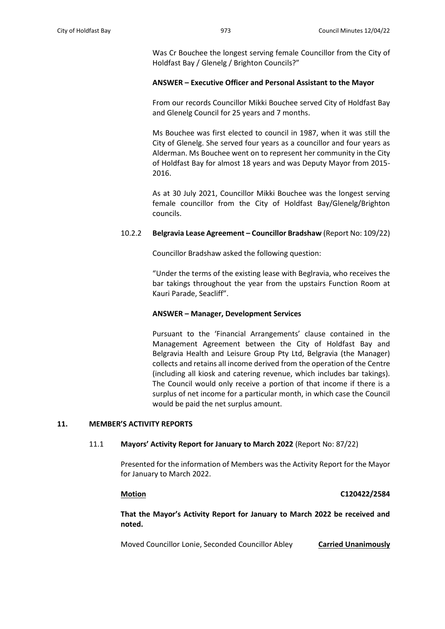Was Cr Bouchee the longest serving female Councillor from the City of Holdfast Bay / Glenelg / Brighton Councils?"

### **ANSWER – Executive Officer and Personal Assistant to the Mayor**

From our records Councillor Mikki Bouchee served City of Holdfast Bay and Glenelg Council for 25 years and 7 months.

Ms Bouchee was first elected to council in 1987, when it was still the City of Glenelg. She served four years as a councillor and four years as Alderman. Ms Bouchee went on to represent her community in the City of Holdfast Bay for almost 18 years and was Deputy Mayor from 2015- 2016.

As at 30 July 2021, Councillor Mikki Bouchee was the longest serving female councillor from the City of Holdfast Bay/Glenelg/Brighton councils.

#### 10.2.2 **Belgravia Lease Agreement – Councillor Bradshaw** (Report No: 109/22)

Councillor Bradshaw asked the following question:

"Under the terms of the existing lease with Beglravia, who receives the bar takings throughout the year from the upstairs Function Room at Kauri Parade, Seacliff".

### **ANSWER – Manager, Development Services**

Pursuant to the 'Financial Arrangements' clause contained in the Management Agreement between the City of Holdfast Bay and Belgravia Health and Leisure Group Pty Ltd, Belgravia (the Manager) collects and retains all income derived from the operation of the Centre (including all kiosk and catering revenue, which includes bar takings). The Council would only receive a portion of that income if there is a surplus of net income for a particular month, in which case the Council would be paid the net surplus amount.

### **11. MEMBER'S ACTIVITY REPORTS**

### 11.1 **Mayors' Activity Report for January to March 2022** (Report No: 87/22)

Presented for the information of Members was the Activity Report for the Mayor for January to March 2022.

### **Motion C120422/2584**

**That the Mayor's Activity Report for January to March 2022 be received and noted.**

Moved Councillor Lonie, Seconded Councillor Abley **Carried Unanimously**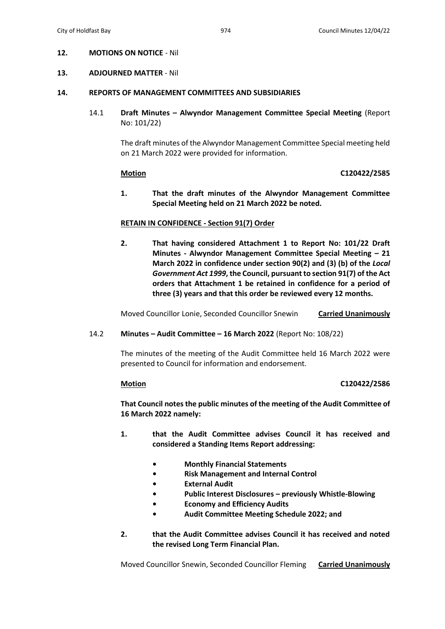## **12. MOTIONS ON NOTICE** - Nil

#### **13. ADJOURNED MATTER** - Nil

#### **14. REPORTS OF MANAGEMENT COMMITTEES AND SUBSIDIARIES**

14.1 **Draft Minutes – Alwyndor Management Committee Special Meeting** (Report No: 101/22)

> The draft minutes of the Alwyndor Management Committee Special meeting held on 21 March 2022 were provided for information.

#### **Motion C120422/2585**

**1. That the draft minutes of the Alwyndor Management Committee Special Meeting held on 21 March 2022 be noted.**

#### **RETAIN IN CONFIDENCE - Section 91(7) Order**

**2. That having considered Attachment 1 to Report No: 101/22 Draft Minutes - Alwyndor Management Committee Special Meeting – 21 March 2022 in confidence under section 90(2) and (3) (b) of the** *Local Government Act 1999***, the Council, pursuant to section 91(7) of the Act orders that Attachment 1 be retained in confidence for a period of three (3) years and that this order be reviewed every 12 months.**

Moved Councillor Lonie, Seconded Councillor Snewin **Carried Unanimously**

### 14.2 **Minutes – Audit Committee – 16 March 2022** (Report No: 108/22)

The minutes of the meeting of the Audit Committee held 16 March 2022 were presented to Council for information and endorsement.

#### **Motion C120422/2586**

**That Council notes the public minutes of the meeting of the Audit Committee of 16 March 2022 namely:**

- **1. that the Audit Committee advises Council it has received and considered a Standing Items Report addressing:**
	- **• Monthly Financial Statements**
	- **• Risk Management and Internal Control**
	- **• External Audit**
	- **• Public Interest Disclosures – previously Whistle-Blowing**
	- **• Economy and Efficiency Audits**
	- **• Audit Committee Meeting Schedule 2022; and**
- **2. that the Audit Committee advises Council it has received and noted the revised Long Term Financial Plan.**

Moved Councillor Snewin, Seconded Councillor Fleming **Carried Unanimously**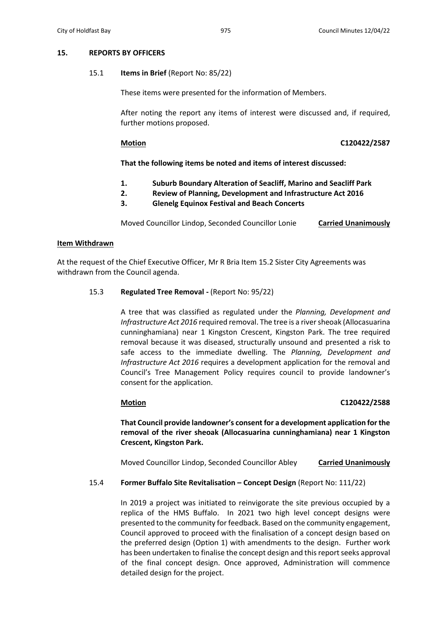# **15. REPORTS BY OFFICERS**

### 15.1 **Items in Brief** (Report No: 85/22)

These items were presented for the information of Members.

After noting the report any items of interest were discussed and, if required, further motions proposed.

### **Motion C120422/2587**

**That the following items be noted and items of interest discussed:**

- **1. Suburb Boundary Alteration of Seacliff, Marino and Seacliff Park**
- **2. Review of Planning, Development and Infrastructure Act 2016**
- **3. Glenelg Equinox Festival and Beach Concerts**

Moved Councillor Lindop, Seconded Councillor Lonie **Carried Unanimously**

## **Item Withdrawn**

At the request of the Chief Executive Officer, Mr R Bria Item 15.2 Sister City Agreements was withdrawn from the Council agenda.

## 15.3 **Regulated Tree Removal -** (Report No: 95/22)

A tree that was classified as regulated under the *Planning, Development and Infrastructure Act 2016* required removal. The tree is a river sheoak (Allocasuarina cunninghamiana) near 1 Kingston Crescent, Kingston Park. The tree required removal because it was diseased, structurally unsound and presented a risk to safe access to the immediate dwelling. The *Planning, Development and Infrastructure Act 2016* requires a development application for the removal and Council's Tree Management Policy requires council to provide landowner's consent for the application.

## **Motion C120422/2588**

**That Council provide landowner's consent for a development application for the removal of the river sheoak (Allocasuarina cunninghamiana) near 1 Kingston Crescent, Kingston Park.**

Moved Councillor Lindop, Seconded Councillor Abley **Carried Unanimously**

15.4 **Former Buffalo Site Revitalisation – Concept Design** (Report No: 111/22)

In 2019 a project was initiated to reinvigorate the site previous occupied by a replica of the HMS Buffalo. In 2021 two high level concept designs were presented to the community for feedback. Based on the community engagement, Council approved to proceed with the finalisation of a concept design based on the preferred design (Option 1) with amendments to the design. Further work has been undertaken to finalise the concept design and this report seeks approval of the final concept design. Once approved, Administration will commence detailed design for the project.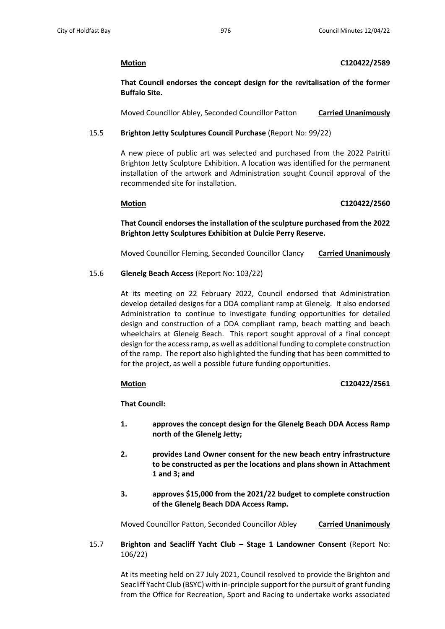# **Motion C120422/2589**

**That Council endorses the concept design for the revitalisation of the former Buffalo Site.**

Moved Councillor Abley, Seconded Councillor Patton **Carried Unanimously**

# 15.5 **Brighton Jetty Sculptures Council Purchase** (Report No: 99/22)

A new piece of public art was selected and purchased from the 2022 Patritti Brighton Jetty Sculpture Exhibition. A location was identified for the permanent installation of the artwork and Administration sought Council approval of the recommended site for installation.

# **Motion C120422/2560**

**That Council endorses the installation of the sculpture purchased from the 2022 Brighton Jetty Sculptures Exhibition at Dulcie Perry Reserve.**

Moved Councillor Fleming, Seconded Councillor Clancy **Carried Unanimously**

# 15.6 **Glenelg Beach Access** (Report No: 103/22)

At its meeting on 22 February 2022, Council endorsed that Administration develop detailed designs for a DDA compliant ramp at Glenelg. It also endorsed Administration to continue to investigate funding opportunities for detailed design and construction of a DDA compliant ramp, beach matting and beach wheelchairs at Glenelg Beach. This report sought approval of a final concept design for the access ramp, as well as additional funding to complete construction of the ramp. The report also highlighted the funding that has been committed to for the project, as well a possible future funding opportunities.

## **Motion C120422/2561**

**That Council:**

- **1. approves the concept design for the Glenelg Beach DDA Access Ramp north of the Glenelg Jetty;**
- **2. provides Land Owner consent for the new beach entry infrastructure to be constructed as per the locations and plans shown in Attachment 1 and 3; and**
- **3. approves \$15,000 from the 2021/22 budget to complete construction of the Glenelg Beach DDA Access Ramp.**

Moved Councillor Patton, Seconded Councillor Abley **Carried Unanimously**

15.7 **Brighton and Seacliff Yacht Club – Stage 1 Landowner Consent** (Report No: 106/22)

> At its meeting held on 27 July 2021, Council resolved to provide the Brighton and Seacliff Yacht Club (BSYC) with in-principle support for the pursuit of grant funding from the Office for Recreation, Sport and Racing to undertake works associated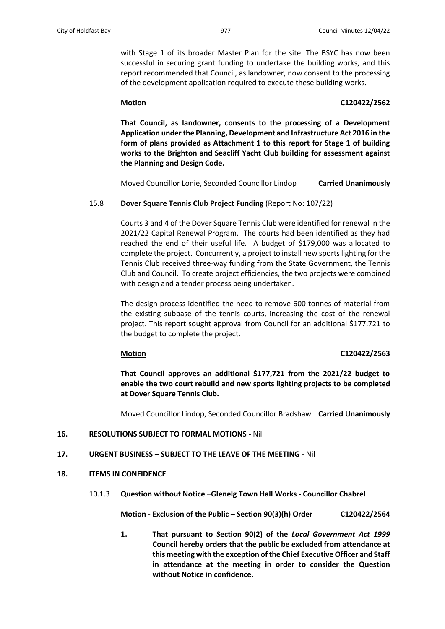with Stage 1 of its broader Master Plan for the site. The BSYC has now been successful in securing grant funding to undertake the building works, and this report recommended that Council, as landowner, now consent to the processing of the development application required to execute these building works.

# **Motion C120422/2562**

**That Council, as landowner, consents to the processing of a Development Application under the Planning, Development and Infrastructure Act 2016 in the form of plans provided as Attachment 1 to this report for Stage 1 of building works to the Brighton and Seacliff Yacht Club building for assessment against the Planning and Design Code.**

Moved Councillor Lonie, Seconded Councillor Lindop **Carried Unanimously**

# 15.8 **Dover Square Tennis Club Project Funding** (Report No: 107/22)

Courts 3 and 4 of the Dover Square Tennis Club were identified for renewal in the 2021/22 Capital Renewal Program. The courts had been identified as they had reached the end of their useful life. A budget of \$179,000 was allocated to complete the project. Concurrently, a project to install new sports lighting for the Tennis Club received three-way funding from the State Government, the Tennis Club and Council. To create project efficiencies, the two projects were combined with design and a tender process being undertaken.

The design process identified the need to remove 600 tonnes of material from the existing subbase of the tennis courts, increasing the cost of the renewal project. This report sought approval from Council for an additional \$177,721 to the budget to complete the project.

#### **Motion C120422/2563**

**That Council approves an additional \$177,721 from the 2021/22 budget to enable the two court rebuild and new sports lighting projects to be completed at Dover Square Tennis Club.**

Moved Councillor Lindop, Seconded Councillor Bradshaw **Carried Unanimously**

## **16. RESOLUTIONS SUBJECT TO FORMAL MOTIONS -** Nil

# **17. URGENT BUSINESS – SUBJECT TO THE LEAVE OF THE MEETING -** Nil

#### **18. ITEMS IN CONFIDENCE**

10.1.3 **Question without Notice –Glenelg Town Hall Works - Councillor Chabrel**

**Motion - Exclusion of the Public – Section 90(3)(h) Order C120422/2564**

**1. That pursuant to Section 90(2) of the** *Local Government Act 1999* **Council hereby orders that the public be excluded from attendance at this meeting with the exception of the Chief Executive Officer and Staff in attendance at the meeting in order to consider the Question without Notice in confidence.**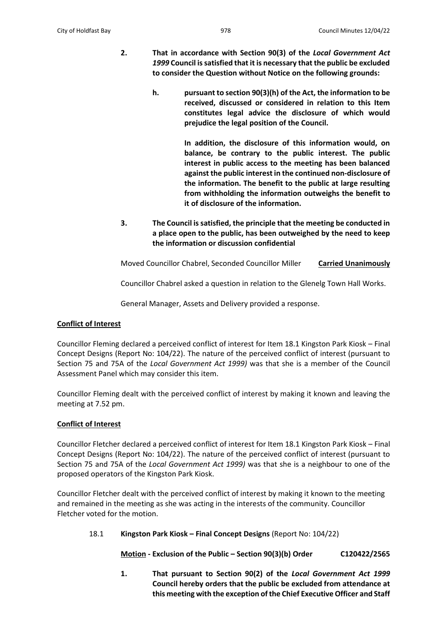- **2. That in accordance with Section 90(3) of the** *Local Government Act 1999* **Council is satisfied that it is necessary that the public be excluded to consider the Question without Notice on the following grounds:**
	- **h. pursuant to section 90(3)(h) of the Act, the information to be received, discussed or considered in relation to this Item constitutes legal advice the disclosure of which would prejudice the legal position of the Council.**

**In addition, the disclosure of this information would, on balance, be contrary to the public interest. The public interest in public access to the meeting has been balanced against the public interest in the continued non-disclosure of the information. The benefit to the public at large resulting from withholding the information outweighs the benefit to it of disclosure of the information.** 

**3. The Council is satisfied, the principle that the meeting be conducted in a place open to the public, has been outweighed by the need to keep the information or discussion confidential**

Moved Councillor Chabrel, Seconded Councillor Miller **Carried Unanimously**

Councillor Chabrel asked a question in relation to the Glenelg Town Hall Works.

General Manager, Assets and Delivery provided a response.

# **Conflict of Interest**

Councillor Fleming declared a perceived conflict of interest for Item 18.1 Kingston Park Kiosk – Final Concept Designs (Report No: 104/22). The nature of the perceived conflict of interest (pursuant to Section 75 and 75A of the *Local Government Act 1999)* was that she is a member of the Council Assessment Panel which may consider this item.

Councillor Fleming dealt with the perceived conflict of interest by making it known and leaving the meeting at 7.52 pm.

## **Conflict of Interest**

Councillor Fletcher declared a perceived conflict of interest for Item 18.1 Kingston Park Kiosk – Final Concept Designs (Report No: 104/22). The nature of the perceived conflict of interest (pursuant to Section 75 and 75A of the *Local Government Act 1999)* was that she is a neighbour to one of the proposed operators of the Kingston Park Kiosk.

Councillor Fletcher dealt with the perceived conflict of interest by making it known to the meeting and remained in the meeting as she was acting in the interests of the community. Councillor Fletcher voted for the motion.

18.1 **Kingston Park Kiosk – Final Concept Designs** (Report No: 104/22)

**Motion - Exclusion of the Public – Section 90(3)(b) Order C120422/2565**

**1. That pursuant to Section 90(2) of the** *Local Government Act 1999* **Council hereby orders that the public be excluded from attendance at this meeting with the exception of the Chief Executive Officer and Staff**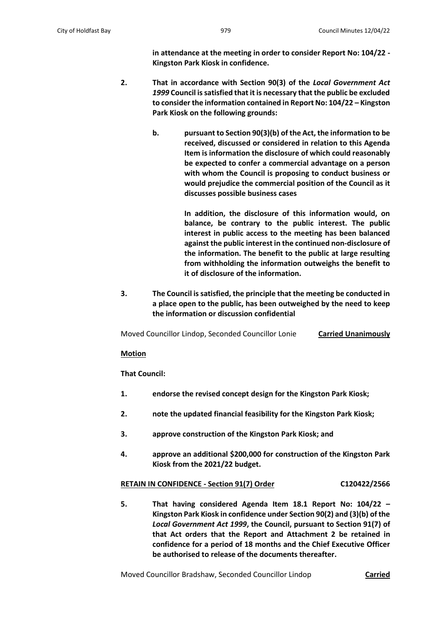**in attendance at the meeting in order to consider Report No: 104/22 - Kingston Park Kiosk in confidence.**

- **2. That in accordance with Section 90(3) of the** *Local Government Act 1999* **Council is satisfied that it is necessary that the public be excluded to consider the information contained in Report No: 104/22 – Kingston Park Kiosk on the following grounds:**
	- **b. pursuant to Section 90(3)(b) of the Act, the information to be received, discussed or considered in relation to this Agenda Item is information the disclosure of which could reasonably be expected to confer a commercial advantage on a person with whom the Council is proposing to conduct business or would prejudice the commercial position of the Council as it discusses possible business cases**

**In addition, the disclosure of this information would, on balance, be contrary to the public interest. The public interest in public access to the meeting has been balanced against the public interest in the continued non-disclosure of the information. The benefit to the public at large resulting from withholding the information outweighs the benefit to it of disclosure of the information.** 

**3. The Council is satisfied, the principle that the meeting be conducted in a place open to the public, has been outweighed by the need to keep the information or discussion confidential**

Moved Councillor Lindop, Seconded Councillor Lonie **Carried Unanimously**

#### **Motion**

**That Council:**

- **1. endorse the revised concept design for the Kingston Park Kiosk;**
- **2. note the updated financial feasibility for the Kingston Park Kiosk;**
- **3. approve construction of the Kingston Park Kiosk; and**
- **4. approve an additional \$200,000 for construction of the Kingston Park Kiosk from the 2021/22 budget.**

#### **RETAIN IN CONFIDENCE - Section 91(7) Order C120422/2566**

**5. That having considered Agenda Item 18.1 Report No: 104/22 – Kingston Park Kiosk in confidence under Section 90(2) and (3)(b) of the**  *Local Government Act 1999***, the Council, pursuant to Section 91(7) of that Act orders that the Report and Attachment 2 be retained in confidence for a period of 18 months and the Chief Executive Officer be authorised to release of the documents thereafter.**

Moved Councillor Bradshaw, Seconded Councillor Lindop **Carried**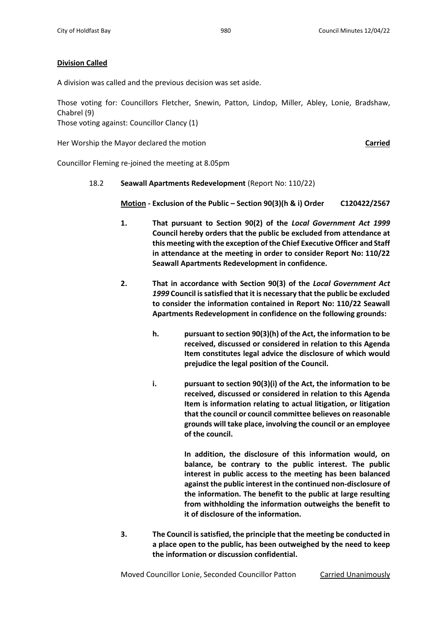## **Division Called**

A division was called and the previous decision was set aside.

Those voting for: Councillors Fletcher, Snewin, Patton, Lindop, Miller, Abley, Lonie, Bradshaw, Chabrel (9)

Those voting against: Councillor Clancy (1)

Her Worship the Mayor declared the motion **Carried**

Councillor Fleming re-joined the meeting at 8.05pm

18.2 **Seawall Apartments Redevelopment** (Report No: 110/22)

**Motion - Exclusion of the Public – Section 90(3)(h & i) Order C120422/2567**

- **1. That pursuant to Section 90(2) of the** *Local Government Act 1999* **Council hereby orders that the public be excluded from attendance at this meeting with the exception of the Chief Executive Officer and Staff in attendance at the meeting in order to consider Report No: 110/22 Seawall Apartments Redevelopment in confidence.**
- **2. That in accordance with Section 90(3) of the** *Local Government Act 1999* **Council is satisfied that it is necessary that the public be excluded to consider the information contained in Report No: 110/22 Seawall Apartments Redevelopment in confidence on the following grounds:**
	- **h. pursuant to section 90(3)(h) of the Act, the information to be received, discussed or considered in relation to this Agenda Item constitutes legal advice the disclosure of which would prejudice the legal position of the Council.**
	- **i. pursuant to section 90(3)(i) of the Act, the information to be received, discussed or considered in relation to this Agenda Item is information relating to actual litigation, or litigation that the council or council committee believes on reasonable grounds will take place, involving the council or an employee of the council.**

**In addition, the disclosure of this information would, on balance, be contrary to the public interest. The public interest in public access to the meeting has been balanced against the public interest in the continued non-disclosure of the information. The benefit to the public at large resulting from withholding the information outweighs the benefit to it of disclosure of the information.** 

**3. The Council is satisfied, the principle that the meeting be conducted in a place open to the public, has been outweighed by the need to keep the information or discussion confidential.**

Moved Councillor Lonie, Seconded Councillor Patton Carried Unanimously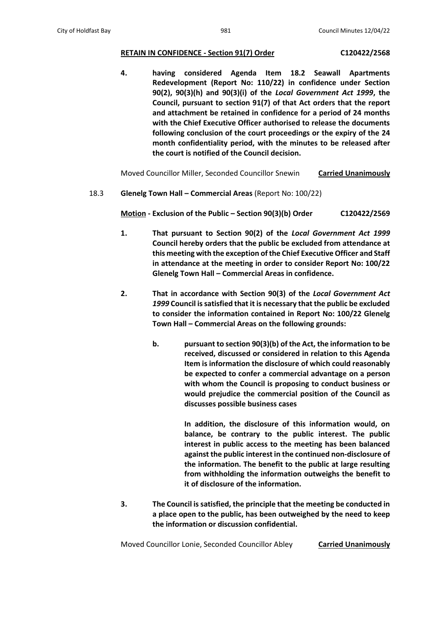# **RETAIN IN CONFIDENCE - Section 91(7) Order C120422/2568**

**4. having considered Agenda Item 18.2 Seawall Apartments Redevelopment (Report No: 110/22) in confidence under Section 90(2), 90(3)(h) and 90(3)(i) of the** *Local Government Act 1999***, the Council, pursuant to section 91(7) of that Act orders that the report and attachment be retained in confidence for a period of 24 months with the Chief Executive Officer authorised to release the documents following conclusion of the court proceedings or the expiry of the 24 month confidentiality period, with the minutes to be released after the court is notified of the Council decision.**

Moved Councillor Miller, Seconded Councillor Snewin **Carried Unanimously**

18.3 **Glenelg Town Hall – Commercial Areas** (Report No: 100/22)

**Motion - Exclusion of the Public – Section 90(3)(b) Order C120422/2569**

- **1. That pursuant to Section 90(2) of the** *Local Government Act 1999* **Council hereby orders that the public be excluded from attendance at this meeting with the exception of the Chief Executive Officer and Staff in attendance at the meeting in order to consider Report No: 100/22 Glenelg Town Hall – Commercial Areas in confidence.**
- **2. That in accordance with Section 90(3) of the** *Local Government Act 1999* **Council is satisfied that it is necessary that the public be excluded to consider the information contained in Report No: 100/22 Glenelg Town Hall – Commercial Areas on the following grounds:**
	- **b. pursuant to section 90(3)(b) of the Act, the information to be received, discussed or considered in relation to this Agenda Item is information the disclosure of which could reasonably be expected to confer a commercial advantage on a person with whom the Council is proposing to conduct business or would prejudice the commercial position of the Council as discusses possible business cases**

**In addition, the disclosure of this information would, on balance, be contrary to the public interest. The public interest in public access to the meeting has been balanced against the public interest in the continued non-disclosure of the information. The benefit to the public at large resulting from withholding the information outweighs the benefit to it of disclosure of the information.** 

**3. The Council is satisfied, the principle that the meeting be conducted in a place open to the public, has been outweighed by the need to keep the information or discussion confidential.**

Moved Councillor Lonie, Seconded Councillor Abley **Carried Unanimously**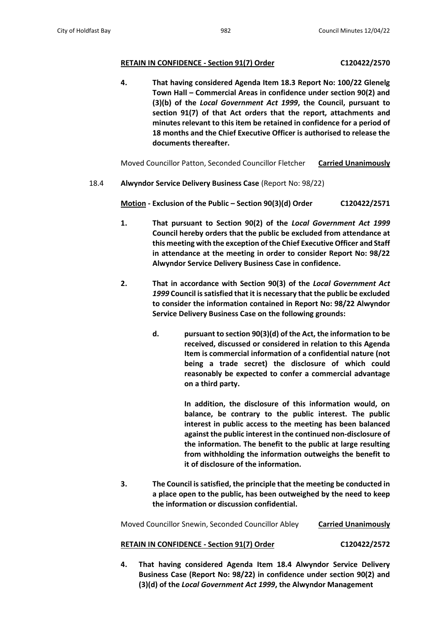## **RETAIN IN CONFIDENCE - Section 91(7) Order C120422/2570**

**4. That having considered Agenda Item 18.3 Report No: 100/22 Glenelg Town Hall – Commercial Areas in confidence under section 90(2) and (3)(b) of the** *Local Government Act 1999***, the Council, pursuant to section 91(7) of that Act orders that the report, attachments and minutes relevant to this item be retained in confidence for a period of 18 months and the Chief Executive Officer is authorised to release the documents thereafter.**

Moved Councillor Patton, Seconded Councillor Fletcher **Carried Unanimously**

# 18.4 **Alwyndor Service Delivery Business Case** (Report No: 98/22)

**Motion - Exclusion of the Public – Section 90(3)(d) Order C120422/2571**

- **1. That pursuant to Section 90(2) of the** *Local Government Act 1999* **Council hereby orders that the public be excluded from attendance at this meeting with the exception of the Chief Executive Officer and Staff in attendance at the meeting in order to consider Report No: 98/22 Alwyndor Service Delivery Business Case in confidence.**
- **2. That in accordance with Section 90(3) of the** *Local Government Act 1999* **Council is satisfied that it is necessary that the public be excluded to consider the information contained in Report No: 98/22 Alwyndor Service Delivery Business Case on the following grounds:**
	- **d. pursuant to section 90(3)(d) of the Act, the information to be received, discussed or considered in relation to this Agenda Item is commercial information of a confidential nature (not being a trade secret) the disclosure of which could reasonably be expected to confer a commercial advantage on a third party.**

**In addition, the disclosure of this information would, on balance, be contrary to the public interest. The public interest in public access to the meeting has been balanced against the public interest in the continued non-disclosure of the information. The benefit to the public at large resulting from withholding the information outweighs the benefit to it of disclosure of the information.**

**3. The Council is satisfied, the principle that the meeting be conducted in a place open to the public, has been outweighed by the need to keep the information or discussion confidential.**

Moved Councillor Snewin, Seconded Councillor Abley **Carried Unanimously**

## **RETAIN IN CONFIDENCE - Section 91(7) Order C120422/2572**

**4. That having considered Agenda Item 18.4 Alwyndor Service Delivery Business Case (Report No: 98/22) in confidence under section 90(2) and (3)(d) of the** *Local Government Act 1999***, the Alwyndor Management**